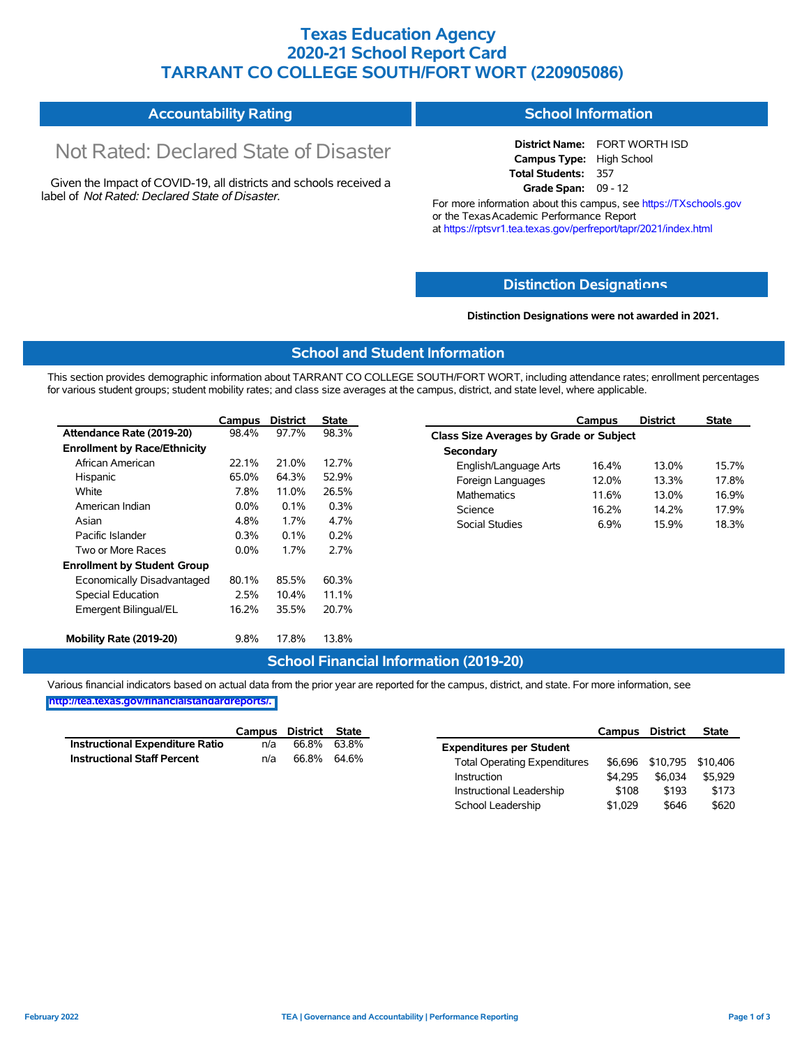### **Texas Education Agency 2020-21 School Report Card TARRANT CO COLLEGE SOUTH/FORT WORT (220905086)**

#### **Accountability Rating School Information**

# Not Rated: Declared State of Disaster

Given the Impact of COVID-19, all districts and schools received a label of *Not Rated: Declared State of Disaster.*

**District Name:** FORT WORTH ISD **Campus Type:** High School **Total Students:** 357 **Grade Span:** 09 - 12

For more information about this campus, see https://TXschools.gov or the Texas Academic Performance Report at https://rptsvr1.tea.texas.gov/perfreport/tapr/2021/index.html

#### **Distinction Designat[ions](https://TXschools.gov)**

**Distinction Designations were not awarded in 2021.**

School Leadership  $$1,029$  \$646 \$620

#### **School and Student Information**

This section provides demographic information about TARRANT CO COLLEGE SOUTH/FORT WORT, including attendance rates; enrollment percentages for various student groups; student mobility rates; and class size averages at the campus, district, and state level, where applicable.

|                                     | Campus  | <b>District</b> | <b>State</b> | Campus                         | <b>District</b>                                | <b>State</b> |  |  |  |  |  |
|-------------------------------------|---------|-----------------|--------------|--------------------------------|------------------------------------------------|--------------|--|--|--|--|--|
| Attendance Rate (2019-20)           | 98.4%   | 97.7%           | 98.3%        |                                | <b>Class Size Averages by Grade or Subject</b> |              |  |  |  |  |  |
| <b>Enrollment by Race/Ethnicity</b> |         |                 |              | Secondary                      |                                                |              |  |  |  |  |  |
| African American                    | 22.1%   | 21.0%           | 12.7%        | English/Language Arts<br>16.4% | 13.0%                                          | 15.7%        |  |  |  |  |  |
| Hispanic                            | 65.0%   | 64.3%           | 52.9%        | 12.0%<br>Foreign Languages     | 13.3%                                          | 17.8%        |  |  |  |  |  |
| White                               | 7.8%    | 11.0%           | 26.5%        | 11.6%<br><b>Mathematics</b>    | 13.0%                                          | 16.9%        |  |  |  |  |  |
| American Indian                     | $0.0\%$ | 0.1%            | 0.3%         | Science<br>16.2%               | 14.2%                                          | 17.9%        |  |  |  |  |  |
| Asian                               | 4.8%    | 1.7%            | 4.7%         | <b>Social Studies</b><br>6.9%  | 15.9%                                          | 18.3%        |  |  |  |  |  |
| Pacific Islander                    | 0.3%    | 0.1%            | 0.2%         |                                |                                                |              |  |  |  |  |  |
| Two or More Races                   | $0.0\%$ | 1.7%            | 2.7%         |                                |                                                |              |  |  |  |  |  |
| <b>Enrollment by Student Group</b>  |         |                 |              |                                |                                                |              |  |  |  |  |  |
| Economically Disadvantaged          | 80.1%   | 85.5%           | 60.3%        |                                |                                                |              |  |  |  |  |  |
| Special Education                   | 2.5%    | 10.4%           | 11.1%        |                                |                                                |              |  |  |  |  |  |
| Emergent Bilingual/EL               | 16.2%   | 35.5%           | 20.7%        |                                |                                                |              |  |  |  |  |  |
| Mobility Rate (2019-20)             | 9.8%    | 17.8%           | 13.8%        |                                |                                                |              |  |  |  |  |  |

#### **School Financial Information (2019-20)**

Various financial indicators based on actual data from the prior year are reported for the campus, district, and state. For more information, see

**[http://tea.texas.gov/financialstandardreports/.](http://tea.texas.gov/financialstandardreports/)**

|                                        | Campus | District | State       |                                     | Campus  | <b>District</b>           | <b>State</b> |
|----------------------------------------|--------|----------|-------------|-------------------------------------|---------|---------------------------|--------------|
| <b>Instructional Expenditure Ratio</b> | n/a    | 66.8%    | 63.8%       | <b>Expenditures per Student</b>     |         |                           |              |
| <b>Instructional Staff Percent</b>     | n/a    |          | 66.8% 64.6% | <b>Total Operating Expenditures</b> |         | \$6,696 \$10,795 \$10,406 |              |
|                                        |        |          |             | Instruction                         | \$4.295 | \$6.034                   | \$5.929      |
|                                        |        |          |             | Instructional Leadership            | \$108   | \$193                     | \$173        |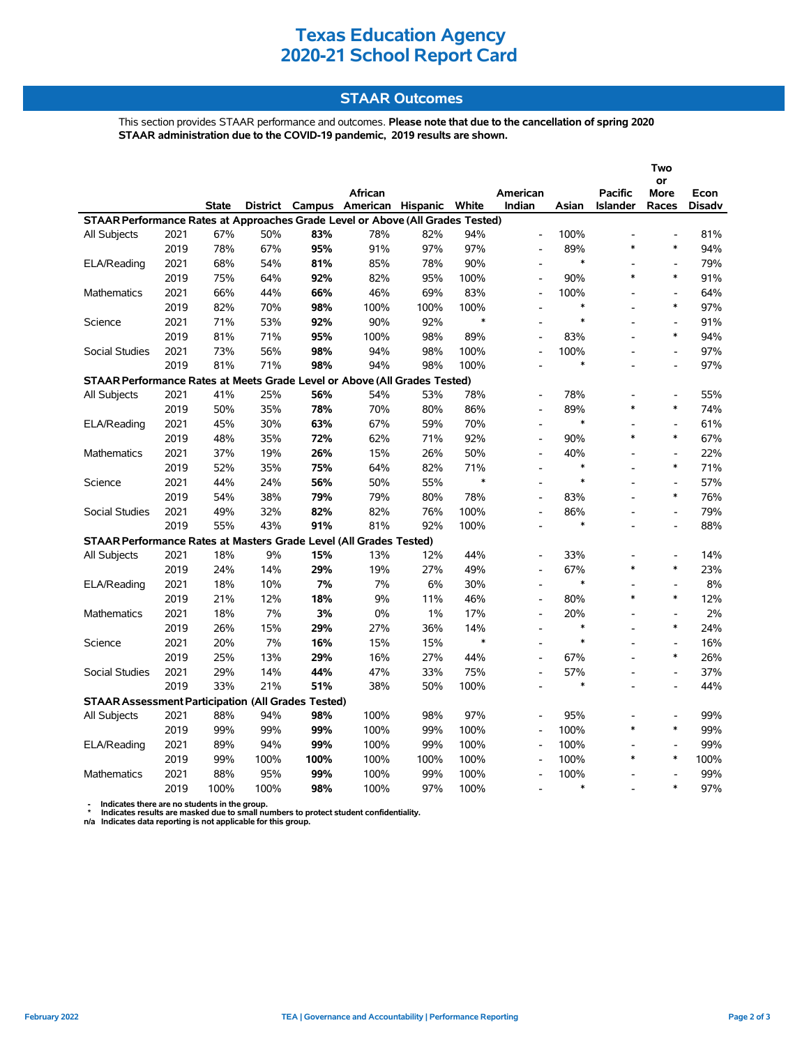### **Texas Education Agency 2020-21 School Report Card**

#### **STAAR Outcomes**

This section provides STAAR performance and outcomes. **Please note that due to the cancellation of spring 2020 STAAR administration due to the COVID-19 pandemic, 2019 results are shown.**

|                                                                                |      |       |                 |        |                   |      |        |                          |               |                | Two            |               |
|--------------------------------------------------------------------------------|------|-------|-----------------|--------|-------------------|------|--------|--------------------------|---------------|----------------|----------------|---------------|
|                                                                                |      |       |                 |        |                   |      |        |                          |               |                | or             |               |
|                                                                                |      |       |                 |        | African           |      |        | American                 |               | Pacific        | More           | Econ          |
|                                                                                |      | State | <b>District</b> | Campus | American Hispanic |      | White  | Indian                   | Asian         | Islander       | Races          | <b>Disadv</b> |
| STAAR Performance Rates at Approaches Grade Level or Above (All Grades Tested) |      |       |                 |        |                   |      |        |                          |               |                |                |               |
| All Subjects                                                                   | 2021 | 67%   | 50%             | 83%    | 78%               | 82%  | 94%    | $\overline{a}$           | 100%          | $\overline{a}$ |                | 81%           |
|                                                                                | 2019 | 78%   | 67%             | 95%    | 91%               | 97%  | 97%    | $\overline{a}$           | 89%<br>$\ast$ | $\ast$         | $\ast$         | 94%           |
| ELA/Reading                                                                    | 2021 | 68%   | 54%             | 81%    | 85%               | 78%  | 90%    | $\overline{a}$           |               |                | $\overline{a}$ | 79%           |
|                                                                                | 2019 | 75%   | 64%             | 92%    | 82%               | 95%  | 100%   | $\overline{a}$           | 90%           | $\ast$         | $\ast$         | 91%           |
| <b>Mathematics</b>                                                             | 2021 | 66%   | 44%             | 66%    | 46%               | 69%  | 83%    | $\overline{a}$           | 100%          |                | $\overline{a}$ | 64%           |
|                                                                                | 2019 | 82%   | 70%             | 98%    | 100%              | 100% | 100%   | $\overline{a}$           | $\ast$        |                | $\ast$         | 97%           |
| Science                                                                        | 2021 | 71%   | 53%             | 92%    | 90%               | 92%  | $\ast$ |                          | $\ast$        |                | $\overline{a}$ | 91%           |
|                                                                                | 2019 | 81%   | 71%             | 95%    | 100%              | 98%  | 89%    | $\overline{a}$           | 83%           |                | $\ast$         | 94%           |
| Social Studies                                                                 | 2021 | 73%   | 56%             | 98%    | 94%               | 98%  | 100%   | $\overline{a}$           | 100%          |                | $\overline{a}$ | 97%           |
|                                                                                | 2019 | 81%   | 71%             | 98%    | 94%               | 98%  | 100%   |                          | $\ast$        |                |                | 97%           |
| STAAR Performance Rates at Meets Grade Level or Above (All Grades Tested)      |      |       |                 |        |                   |      |        |                          |               |                |                |               |
| All Subjects                                                                   | 2021 | 41%   | 25%             | 56%    | 54%               | 53%  | 78%    |                          | 78%           |                |                | 55%           |
|                                                                                | 2019 | 50%   | 35%             | 78%    | 70%               | 80%  | 86%    |                          | 89%           | $\ast$         | $\ast$         | 74%           |
| ELA/Reading                                                                    | 2021 | 45%   | 30%             | 63%    | 67%               | 59%  | 70%    | $\overline{a}$           | $\ast$        |                |                | 61%           |
|                                                                                | 2019 | 48%   | 35%             | 72%    | 62%               | 71%  | 92%    | $\overline{a}$           | 90%           | $\ast$         | $\ast$         | 67%           |
| <b>Mathematics</b>                                                             | 2021 | 37%   | 19%             | 26%    | 15%               | 26%  | 50%    | $\overline{a}$           | 40%           |                | $\overline{a}$ | 22%           |
|                                                                                | 2019 | 52%   | 35%             | 75%    | 64%               | 82%  | 71%    | $\overline{\phantom{a}}$ | $\ast$        |                | $\ast$         | 71%           |
| Science                                                                        | 2021 | 44%   | 24%             | 56%    | 50%               | 55%  | $\ast$ | $\overline{a}$           | $\ast$        |                | $\overline{a}$ | 57%           |
|                                                                                | 2019 | 54%   | 38%             | 79%    | 79%               | 80%  | 78%    | $\overline{a}$           | 83%           |                | $\ast$         | 76%           |
| Social Studies                                                                 | 2021 | 49%   | 32%             | 82%    | 82%               | 76%  | 100%   | $\overline{a}$           | 86%           |                | $\overline{a}$ | 79%           |
|                                                                                | 2019 | 55%   | 43%             | 91%    | 81%               | 92%  | 100%   |                          | $\ast$        |                |                | 88%           |
| STAAR Performance Rates at Masters Grade Level (All Grades Tested)             |      |       |                 |        |                   |      |        |                          |               |                |                |               |
| All Subjects                                                                   | 2021 | 18%   | 9%              | 15%    | 13%               | 12%  | 44%    |                          | 33%           |                | $\blacksquare$ | 14%           |
|                                                                                | 2019 | 24%   | 14%             | 29%    | 19%               | 27%  | 49%    | $\overline{a}$           | 67%           | $\ast$         | $\ast$         | 23%           |
| ELA/Reading                                                                    | 2021 | 18%   | 10%             | 7%     | 7%                | 6%   | 30%    | $\overline{a}$           | $\ast$        |                |                | 8%            |
|                                                                                | 2019 | 21%   | 12%             | 18%    | 9%                | 11%  | 46%    | $\overline{a}$           | 80%           | $\ast$         | $\ast$         | 12%           |
| <b>Mathematics</b>                                                             | 2021 | 18%   | 7%              | 3%     | 0%                | 1%   | 17%    | $\overline{a}$           | 20%           |                | $\overline{a}$ | 2%            |
|                                                                                | 2019 | 26%   | 15%             | 29%    | 27%               | 36%  | 14%    | $\overline{\phantom{a}}$ | $\ast$        |                | $\ast$         | 24%           |
| Science                                                                        | 2021 | 20%   | 7%              | 16%    | 15%               | 15%  | $\ast$ | $\overline{a}$           | $\ast$        |                | $\overline{a}$ | 16%           |
|                                                                                | 2019 | 25%   | 13%             | 29%    | 16%               | 27%  | 44%    | $\overline{a}$           | 67%           |                | $\ast$         | 26%           |
| Social Studies                                                                 | 2021 | 29%   | 14%             | 44%    | 47%               | 33%  | 75%    | L,                       | 57%           |                | $\overline{a}$ | 37%           |
|                                                                                | 2019 | 33%   | 21%             | 51%    | 38%               | 50%  | 100%   |                          | $\ast$        |                |                | 44%           |
| <b>STAAR Assessment Participation (All Grades Tested)</b>                      |      |       |                 |        |                   |      |        |                          |               |                |                |               |
| All Subjects                                                                   | 2021 | 88%   | 94%             | 98%    | 100%              | 98%  | 97%    |                          | 95%           |                |                | 99%           |
|                                                                                | 2019 | 99%   | 99%             | 99%    | 100%              | 99%  | 100%   | $\overline{a}$           | 100%          | $\ast$         | $\ast$         | 99%           |
| ELA/Reading                                                                    | 2021 | 89%   | 94%             | 99%    | 100%              | 99%  | 100%   | $\overline{a}$           | 100%          |                |                | 99%           |
|                                                                                | 2019 | 99%   | 100%            | 100%   | 100%              | 100% | 100%   | $\overline{\phantom{a}}$ | 100%          | $\ast$         | $\ast$         | 100%          |
| <b>Mathematics</b>                                                             | 2021 | 88%   | 95%             | 99%    | 100%              | 99%  | 100%   | $\overline{a}$           | 100%          |                | $\overline{a}$ | 99%           |
|                                                                                | 2019 | 100%  | 100%            | 98%    | 100%              | 97%  | 100%   |                          | $\ast$        |                | $\ast$         | 97%           |
|                                                                                |      |       |                 |        |                   |      |        |                          |               |                |                |               |

 **- Indicates there are no students in the group. \* Indicates results are masked due to small numbers to protect student confidentiality.**

**n/a Indicates data reporting is not applicable for this group.**